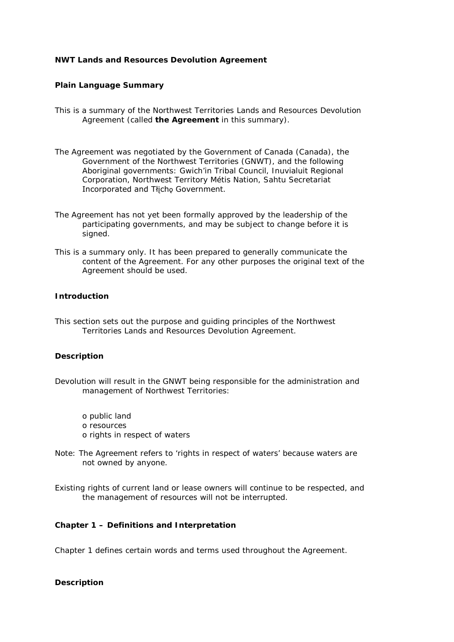## **NWT Lands and Resources Devolution Agreement**

### **Plain Language Summary**

- This is a summary of the *Northwest Territories Lands and Resources Devolution Agreement* (called **the Agreement** in this summary).
- The Agreement was negotiated by the Government of Canada (Canada), the Government of the Northwest Territories (GNWT), and the following Aboriginal governments: Gwich'in Tribal Council, Inuvialuit Regional Corporation, Northwest Territory Métis Nation, Sahtu Secretariat Incorporated and Tłicho Government.
- The Agreement has not yet been formally approved by the leadership of the participating governments, and may be subject to change before it is signed.
- This is a summary only. It has been prepared to generally communicate the content of the Agreement. For any other purposes the original text of the Agreement should be used.

# **Introduction**

This section sets out the purpose and guiding principles of the *Northwest Territories Lands and Resources Devolution Agreement.* 

### **Description**

- Devolution will result in the GNWT being responsible for the administration and management of Northwest Territories:
	- o public land o resources o rights in respect of waters
- *Note:* The Agreement refers to 'rights in respect of waters' because waters are not owned by anyone.
- Existing rights of current land or lease owners will continue to be respected, and the management of resources will not be interrupted.

### **Chapter 1 – Definitions and Interpretation**

Chapter 1 defines certain words and terms used throughout the Agreement.

#### **Description**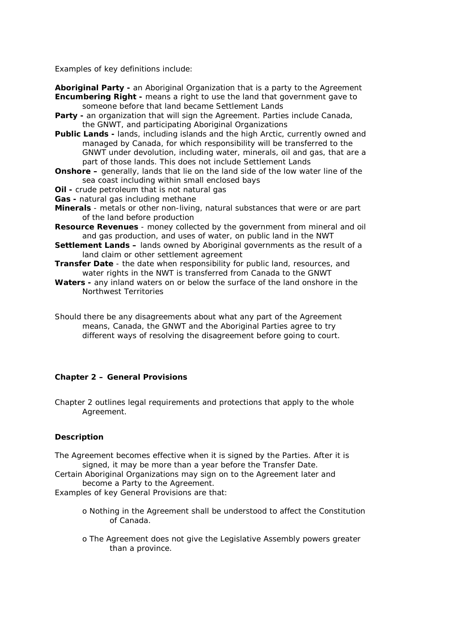Examples of key definitions include:

**Aboriginal Party -** an Aboriginal Organization that is a party to the Agreement **Encumbering Right -** means a right to use the land that government gave to someone before that land became Settlement Lands

- **Party -** an organization that will sign the Agreement. Parties include Canada, the GNWT, and participating Aboriginal Organizations
- **Public Lands -** lands, including islands and the high Arctic, currently owned and managed by Canada, for which responsibility will be transferred to the GNWT under devolution, including water, minerals, oil and gas, that are a part of those lands. This does not include Settlement Lands
- **Onshore –** generally, lands that lie on the land side of the low water line of the sea coast including within small enclosed bays
- **Oil -** crude petroleum that is not natural gas
- **Gas -** natural gas including methane
- **Minerals**  metals or other non-living, natural substances that were or are part of the land before production
- **Resource Revenues**  money collected by the government from mineral and oil and gas production, and uses of water, on public land in the NWT
- **Settlement Lands –** lands owned by Aboriginal governments as the result of a land claim or other settlement agreement
- **Transfer Date**  the date when responsibility for public land, resources, and water rights in the NWT is transferred from Canada to the GNWT
- **Waters -** any inland waters on or below the surface of the land onshore in the Northwest Territories
- Should there be any disagreements about what any part of the Agreement means, Canada, the GNWT and the Aboriginal Parties agree to try different ways of resolving the disagreement before going to court.

## **Chapter 2 – General Provisions**

Chapter 2 outlines legal requirements and protections that apply to the whole Agreement.

## **Description**

The Agreement becomes effective when it is signed by the Parties. After it is signed, it may be more than a year before the Transfer Date.

Certain Aboriginal Organizations may sign on to the Agreement later and become a Party to the Agreement.

Examples of key General Provisions are that:

- o Nothing in the Agreement shall be understood to affect the Constitution of Canada.
- o The Agreement does not give the Legislative Assembly powers greater than a province.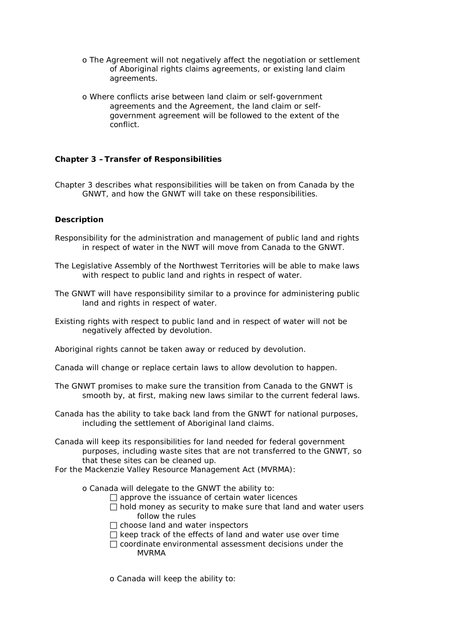- o The Agreement will not negatively affect the negotiation or settlement of Aboriginal rights claims agreements, or existing land claim agreements.
- o Where conflicts arise between land claim or self-government agreements and the Agreement, the land claim or selfgovernment agreement will be followed to the extent of the conflict.

# **Chapter 3 –Transfer of Responsibilities**

Chapter 3 describes what responsibilities will be taken on from Canada by the GNWT, and how the GNWT will take on these responsibilities.

# **Description**

- Responsibility for the administration and management of public land and rights in respect of water in the NWT will move from Canada to the GNWT.
- The Legislative Assembly of the Northwest Territories will be able to make laws with respect to public land and rights in respect of water.
- The GNWT will have responsibility similar to a province for administering public land and rights in respect of water.
- Existing rights with respect to public land and in respect of water will not be negatively affected by devolution.

Aboriginal rights cannot be taken away or reduced by devolution.

- Canada will change or replace certain laws to allow devolution to happen.
- The GNWT promises to make sure the transition from Canada to the GNWT is smooth by, at first, making new laws similar to the current federal laws.
- Canada has the ability to take back land from the GNWT for national purposes, including the settlement of Aboriginal land claims.
- Canada will keep its responsibilities for land needed for federal government purposes, including waste sites that are not transferred to the GNWT, so that these sites can be cleaned up.

For the *Mackenzie Valley Resource Management Act (MVRMA)*:

- o Canada will delegate to the GNWT the ability to:
	- $\Box$  approve the issuance of certain water licences
	- $\Box$  hold money as security to make sure that land and water users follow the rules
	- $\Box$  choose land and water inspectors
	- $\Box$  keep track of the effects of land and water use over time
	- $\Box$  coordinate environmental assessment decisions under the MVRMA
	- o Canada will keep the ability to: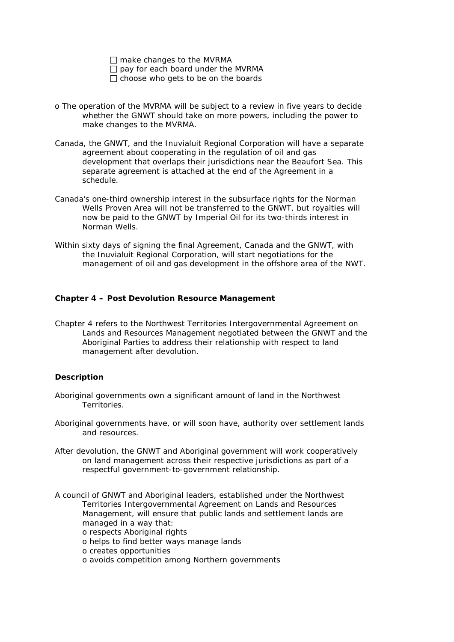make changes to the *MVRMA* 

pay for each board under the *MVRMA* 

 $\Box$  choose who gets to be on the boards

- o The operation of the *MVRMA* will be subject to a review in five years to decide whether the GNWT should take on more powers, including the power to make changes to the MVRMA.
- Canada, the GNWT, and the Inuvialuit Regional Corporation will have a separate agreement about cooperating in the regulation of oil and gas development that overlaps their jurisdictions near the Beaufort Sea. This separate agreement is attached at the end of the Agreement in a schedule.
- Canada's one-third ownership interest in the subsurface rights for the Norman Wells Proven Area will not be transferred to the GNWT, but royalties will now be paid to the GNWT by Imperial Oil for its two-thirds interest in Norman Wells.
- Within sixty days of signing the final Agreement, Canada and the GNWT, with the Inuvialuit Regional Corporation, will start negotiations for the management of oil and gas development in the offshore area of the NWT.

## **Chapter 4 – Post Devolution Resource Management**

Chapter 4 refers to the *Northwest Territories Intergovernmental Agreement on Lands and Resources Management* negotiated between the GNWT and the Aboriginal Parties to address their relationship with respect to land management after devolution.

## **Description**

- Aboriginal governments own a significant amount of land in the Northwest Territories.
- Aboriginal governments have, or will soon have, authority over settlement lands and resources.
- After devolution, the GNWT and Aboriginal government will work cooperatively on land management across their respective jurisdictions as part of a respectful government-to-government relationship.

A council of GNWT and Aboriginal leaders, established under the *Northwest Territories Intergovernmental Agreement on Lands and Resources Management*, will ensure that public lands and settlement lands are managed in a way that:

o respects Aboriginal rights

o helps to find better ways manage lands

o creates opportunities

o avoids competition among Northern governments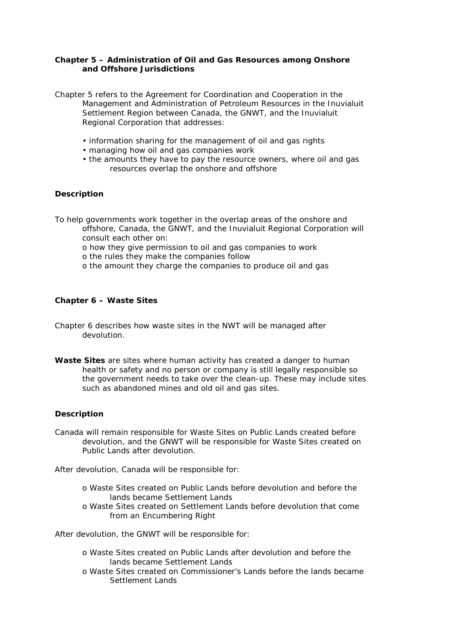# **Chapter 5 – Administration of Oil and Gas Resources among Onshore and Offshore Jurisdictions**

Chapter 5 refers to the *Agreement for Coordination and Cooperation in the Management and Administration of Petroleum Resources in the Inuvialuit Settlement Region* between Canada, the GNWT, and the Inuvialuit Regional Corporation that addresses:

- information sharing for the management of oil and gas rights
- managing how oil and gas companies work
- the amounts they have to pay the resource owners, where oil and gas resources overlap the onshore and offshore

## **Description**

To help governments work together in the overlap areas of the onshore and offshore, Canada, the GNWT, and the Inuvialuit Regional Corporation will consult each other on:

- o how they give permission to oil and gas companies to work
- o the rules they make the companies follow
- o the amount they charge the companies to produce oil and gas

### **Chapter 6 – Waste Sites**

- Chapter 6 describes how waste sites in the NWT will be managed after devolution.
- *Waste Sites are sites where human activity has created a danger to human health or safety and no person or company is still legally responsible so the government needs to take over the clean-up. These may include sites such as abandoned mines and old oil and gas sites.*

## **Description**

Canada will remain responsible for Waste Sites on Public Lands created before devolution, and the GNWT will be responsible for Waste Sites created on Public Lands after devolution.

After devolution, Canada will be responsible for:

- o Waste Sites created on Public Lands before devolution and before the lands became Settlement Lands
- o Waste Sites created on Settlement Lands before devolution that come from an Encumbering Right

After devolution, the GNWT will be responsible for:

- o Waste Sites created on Public Lands after devolution and before the lands became Settlement Lands
- o Waste Sites created on Commissioner's Lands before the lands became Settlement Lands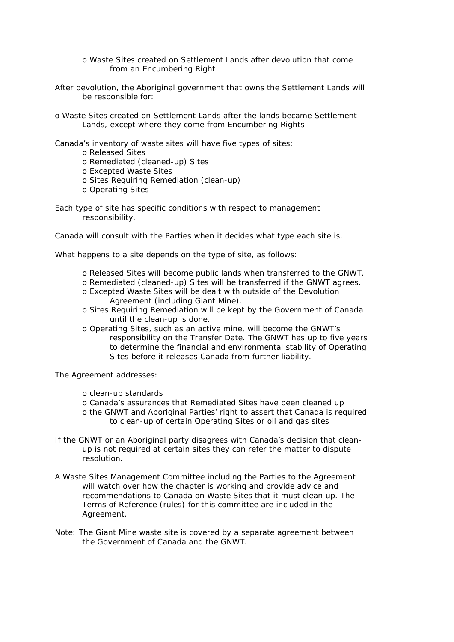- o Waste Sites created on Settlement Lands after devolution that come from an Encumbering Right
- After devolution, the Aboriginal government that owns the Settlement Lands will be responsible for:
- o Waste Sites created on Settlement Lands after the lands became Settlement Lands, except where they come from Encumbering Rights

Canada's inventory of waste sites will have five types of sites:

- o Released Sites
- o Remediated (cleaned-up) Sites
- o Excepted Waste Sites
- o Sites Requiring Remediation (clean-up)
- o Operating Sites
- Each type of site has specific conditions with respect to management responsibility.

Canada will consult with the Parties when it decides what type each site is.

What happens to a site depends on the type of site, as follows:

- o Released Sites will become public lands when transferred to the GNWT.
- o Remediated (cleaned-up) Sites will be transferred if the GNWT agrees.
- o Excepted Waste Sites will be dealt with outside of the Devolution Agreement (including Giant Mine).
- o Sites Requiring Remediation will be kept by the Government of Canada until the clean-up is done.
- o Operating Sites, such as an active mine, will become the GNWT's responsibility on the Transfer Date. The GNWT has up to five years to determine the financial and environmental stability of Operating Sites before it releases Canada from further liability.

The Agreement addresses:

- o clean-up standards
- o Canada's assurances that Remediated Sites have been cleaned up
- o the GNWT and Aboriginal Parties' right to assert that Canada is required to clean-up of certain Operating Sites or oil and gas sites
- If the GNWT or an Aboriginal party disagrees with Canada's decision that cleanup is not required at certain sites they can refer the matter to dispute resolution.
- A Waste Sites Management Committee including the Parties to the Agreement will watch over how the chapter is working and provide advice and recommendations to Canada on Waste Sites that it must clean up. The Terms of Reference (rules) for this committee are included in the Agreement.
- *Note: The Giant Mine waste site is covered by a separate agreement between the Government of Canada and the GNWT.*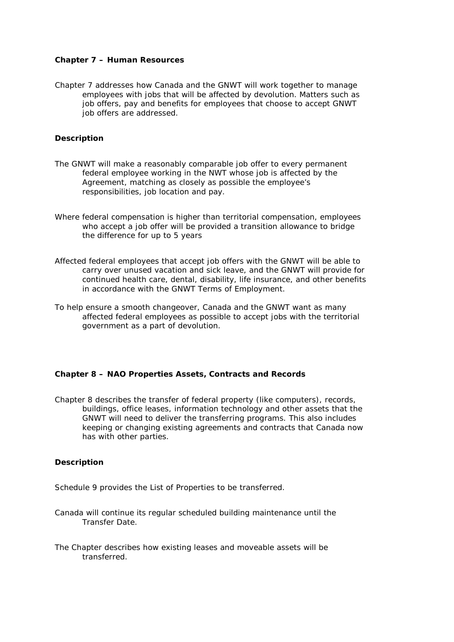## **Chapter 7 – Human Resources**

Chapter 7 addresses how Canada and the GNWT will work together to manage employees with jobs that will be affected by devolution. Matters such as job offers, pay and benefits for employees that choose to accept GNWT job offers are addressed.

### **Description**

- The GNWT will make a reasonably comparable job offer to every permanent federal employee working in the NWT whose job is affected by the Agreement, matching as closely as possible the employee's responsibilities, job location and pay.
- Where federal compensation is higher than territorial compensation, employees who accept a job offer will be provided a transition allowance to bridge the difference for up to 5 years
- Affected federal employees that accept job offers with the GNWT will be able to carry over unused vacation and sick leave, and the GNWT will provide for continued health care, dental, disability, life insurance, and other benefits in accordance with the GNWT Terms of Employment.
- To help ensure a smooth changeover, Canada and the GNWT want as many affected federal employees as possible to accept jobs with the territorial government as a part of devolution.

#### **Chapter 8 – NAO Properties Assets, Contracts and Records**

Chapter 8 describes the transfer of federal property (like computers), records, buildings, office leases, information technology and other assets that the GNWT will need to deliver the transferring programs. This also includes keeping or changing existing agreements and contracts that Canada now has with other parties.

#### **Description**

Schedule 9 provides the List of Properties to be transferred.

- Canada will continue its regular scheduled building maintenance until the Transfer Date.
- The Chapter describes how existing leases and moveable assets will be transferred.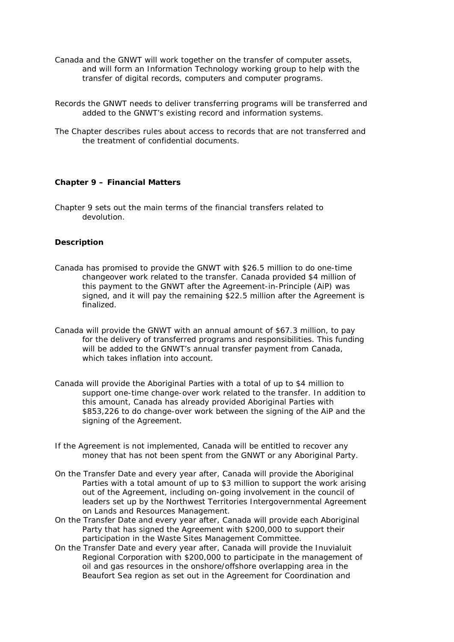- Canada and the GNWT will work together on the transfer of computer assets, and will form an Information Technology working group to help with the transfer of digital records, computers and computer programs.
- Records the GNWT needs to deliver transferring programs will be transferred and added to the GNWT's existing record and information systems.
- The Chapter describes rules about access to records that are not transferred and the treatment of confidential documents.

# **Chapter 9 – Financial Matters**

Chapter 9 sets out the main terms of the financial transfers related to devolution.

## **Description**

- Canada has promised to provide the GNWT with \$26.5 million to do one-time changeover work related to the transfer. Canada provided \$4 million of this payment to the GNWT after the Agreement-in-Principle (AiP) was signed, and it will pay the remaining \$22.5 million after the Agreement is finalized.
- Canada will provide the GNWT with an annual amount of \$67.3 million, to pay for the delivery of transferred programs and responsibilities. This funding will be added to the GNWT's annual transfer payment from Canada, which takes inflation into account
- Canada will provide the Aboriginal Parties with a total of up to \$4 million to support one-time change-over work related to the transfer. In addition to this amount, Canada has already provided Aboriginal Parties with \$853,226 to do change-over work between the signing of the AiP and the signing of the Agreement.
- If the Agreement is not implemented, Canada will be entitled to recover any money that has not been spent from the GNWT or any Aboriginal Party.
- On the Transfer Date and every year after, Canada will provide the Aboriginal Parties with a total amount of up to \$3 million to support the work arising out of the Agreement, including on-going involvement in the council of leaders set up by the *Northwest Territories Intergovernmental Agreement on Lands and Resources Management*.
- On the Transfer Date and every year after, Canada will provide each Aboriginal Party that has signed the Agreement with \$200,000 to support their participation in the Waste Sites Management Committee.
- On the Transfer Date and every year after, Canada will provide the Inuvialuit Regional Corporation with \$200,000 to participate in the management of oil and gas resources in the onshore/offshore overlapping area in the Beaufort Sea region as set out in the *Agreement for Coordination and*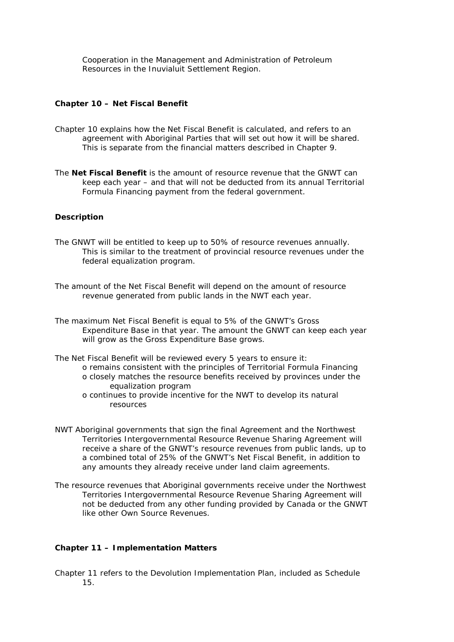*Cooperation in the Management and Administration of Petroleum Resources in the Inuvialuit Settlement Region*.

### **Chapter 10 – Net Fiscal Benefit**

- Chapter 10 explains how the Net Fiscal Benefit is calculated, and refers to an agreement with Aboriginal Parties that will set out how it will be shared. This is separate from the financial matters described in Chapter 9.
- *The Net Fiscal Benefit is the amount of resource revenue that the GNWT can keep each year – and that will not be deducted from its annual Territorial Formula Financing payment from the federal government.*

# **Description**

- The GNWT will be entitled to keep up to 50% of resource revenues annually. This is similar to the treatment of provincial resource revenues under the federal equalization program.
- The amount of the Net Fiscal Benefit will depend on the amount of resource revenue generated from public lands in the NWT each year.
- The maximum Net Fiscal Benefit is equal to 5% of the GNWT's Gross Expenditure Base in that year. The amount the GNWT can keep each year will grow as the Gross Expenditure Base grows.
- The Net Fiscal Benefit will be reviewed every 5 years to ensure it:
	- o remains consistent with the principles of Territorial Formula Financing o closely matches the resource benefits received by provinces under the equalization program
	- o continues to provide incentive for the NWT to develop its natural resources
- NWT Aboriginal governments that sign the final Agreement and the *Northwest Territories Intergovernmental Resource Revenue Sharing Agreement* will receive a share of the GNWT's resource revenues from public lands, up to a combined total of 25% of the GNWT's Net Fiscal Benefit, in addition to any amounts they already receive under land claim agreements.
- The resource revenues that Aboriginal governments receive under the *Northwest Territories Intergovernmental Resource Revenue Sharing Agreement* will not be deducted from any other funding provided by Canada or the GNWT like other Own Source Revenues.

#### **Chapter 11 – Implementation Matters**

Chapter 11 refers to the Devolution Implementation Plan, included as Schedule 15.